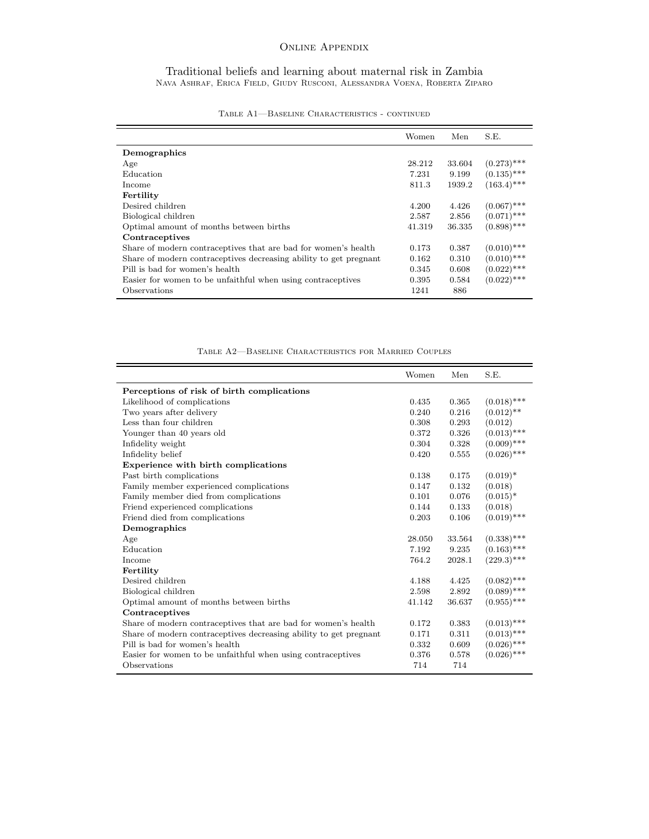## Online Appendix

Traditional beliefs and learning about maternal risk in Zambia Nava Ashraf, Erica Field, Giudy Rusconi, Alessandra Voena, Roberta Ziparo

|                                                                   | Women  | Men    | S.E.          |
|-------------------------------------------------------------------|--------|--------|---------------|
| Demographics                                                      |        |        |               |
| Age                                                               | 28.212 | 33.604 | $(0.273)$ *** |
| Education                                                         | 7.231  | 9.199  | $(0.135)$ *** |
| Income                                                            | 811.3  | 1939.2 | $(163.4)$ *** |
| Fertility                                                         |        |        |               |
| Desired children                                                  | 4.200  | 4.426  | $(0.067)$ *** |
| Biological children                                               | 2.587  | 2.856  | $(0.071)$ *** |
| Optimal amount of months between births                           | 41.319 | 36.335 | $(0.898)$ *** |
| Contraceptives                                                    |        |        |               |
| Share of modern contraceptives that are bad for women's health    | 0.173  | 0.387  | $(0.010)$ *** |
| Share of modern contraceptives decreasing ability to get pregnant | 0.162  | 0.310  | $(0.010)$ *** |
| Pill is bad for women's health                                    | 0.345  | 0.608  | $(0.022)$ *** |
| Easier for women to be unfaithful when using contraceptives       | 0.395  | 0.584  | $(0.022)$ *** |
| Observations                                                      | 1241   | 886    |               |

| TABLE A1—BASELINE CHARACTERISTICS - CONTINUED |
|-----------------------------------------------|
|-----------------------------------------------|

 $=$ 

Ē,

Table A2—Baseline Characteristics for Married Couples

|                                                                   | Women  | Men    | S.E.          |
|-------------------------------------------------------------------|--------|--------|---------------|
| Perceptions of risk of birth complications                        |        |        |               |
| Likelihood of complications                                       | 0.435  | 0.365  | $(0.018)$ *** |
| Two years after delivery                                          | 0.240  | 0.216  | $(0.012)$ **  |
| Less than four children                                           | 0.308  | 0.293  | (0.012)       |
| Younger than 40 years old                                         | 0.372  | 0.326  | $(0.013)$ *** |
| Infidelity weight                                                 | 0.304  | 0.328  | $(0.009)$ *** |
| Infidelity belief                                                 | 0.420  | 0.555  | $(0.026)$ *** |
| Experience with birth complications                               |        |        |               |
| Past birth complications                                          | 0.138  | 0.175  | $(0.019)^*$   |
| Family member experienced complications                           | 0.147  | 0.132  | (0.018)       |
| Family member died from complications                             | 0.101  | 0.076  | $(0.015)^*$   |
| Friend experienced complications                                  | 0.144  | 0.133  | (0.018)       |
| Friend died from complications                                    | 0.203  | 0.106  | $(0.019)$ *** |
| Demographics                                                      |        |        |               |
| Age                                                               | 28.050 | 33.564 | $(0.338)$ *** |
| Education                                                         | 7.192  | 9.235  | $(0.163)$ *** |
| Income                                                            | 764.2  | 2028.1 | $(229.3)$ *** |
| Fertility                                                         |        |        |               |
| Desired children                                                  | 4.188  | 4.425  | $(0.082)$ *** |
| Biological children                                               | 2.598  | 2.892  | $(0.089)$ *** |
| Optimal amount of months between births                           | 41.142 | 36.637 | $(0.955)$ *** |
| Contraceptives                                                    |        |        |               |
| Share of modern contraceptives that are bad for women's health    | 0.172  | 0.383  | $(0.013)$ *** |
| Share of modern contraceptives decreasing ability to get pregnant | 0.171  | 0.311  | $(0.013)$ *** |
| Pill is bad for women's health                                    | 0.332  | 0.609  | $(0.026)$ *** |
| Easier for women to be unfaithful when using contraceptives       | 0.376  | 0.578  | $(0.026)$ *** |
| Observations                                                      | 714    | 714    |               |